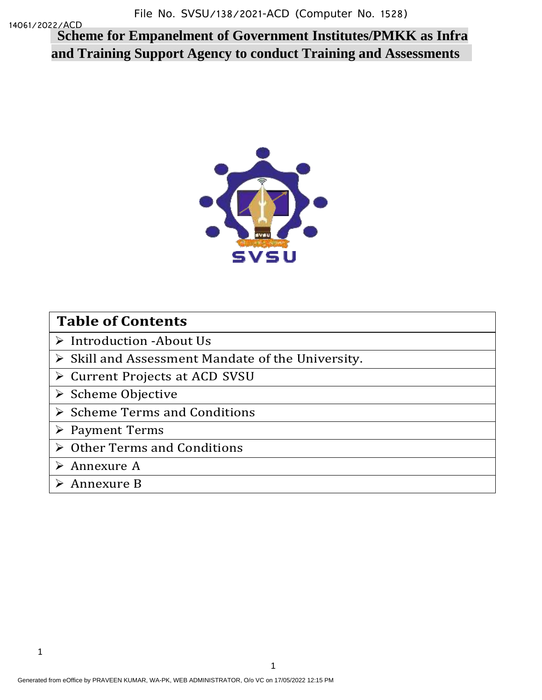

|  | <b>Table of Contents</b> |
|--|--------------------------|
|--|--------------------------|

- $\triangleright$  Introduction -About Us
- $\triangleright$  Skill and Assessment Mandate of the University.
- Current Projects at ACD SVSU
- ▶ Scheme Objective
- $\triangleright$  Scheme Terms and Conditions
- **▶ Payment Terms**
- $\triangleright$  Other Terms and Conditions
- Annexure A
- Annexure B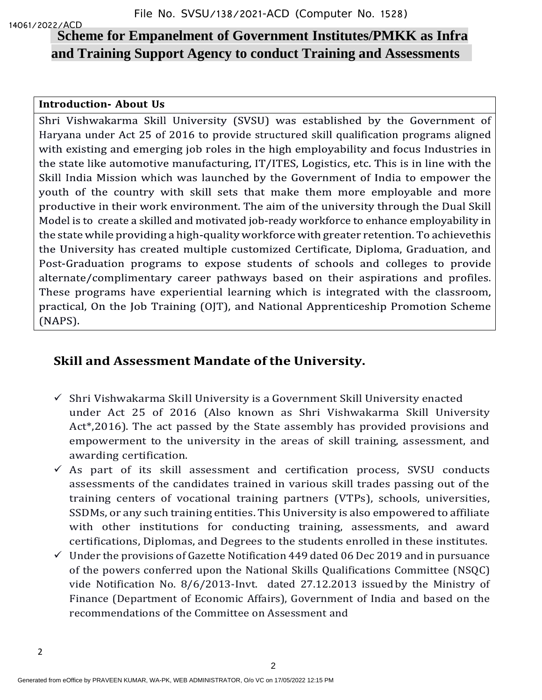#### **Introduction- About Us**

Shri Vishwakarma Skill University (SVSU) was established by the Government of Haryana under Act 25 of 2016 to provide structured skill qualification programs aligned with existing and emerging job roles in the high employability and focus Industries in the state like automotive manufacturing, IT/ITES, Logistics, etc. This is in line with the Skill India Mission which was launched by the Government of India to empower the youth of the country with skill sets that make them more employable and more productive in their work environment. The aim of the university through the Dual Skill Model is to create a skilled and motivated job-ready workforce to enhance employability in the state while providing a high-quality workforce with greater retention. To achievethis the University has created multiple customized Certificate, Diploma, Graduation, and Post-Graduation programs to expose students of schools and colleges to provide alternate/complimentary career pathways based on their aspirations and profiles. These programs have experiential learning which is integrated with the classroom, practical, On the Job Training (OJT), and National Apprenticeship Promotion Scheme  $(NAPS).$ 

## **Skill and Assessment Mandate of the University.**

- $\checkmark$  Shri Vishwakarma Skill University is a Government Skill University enacted under Act 25 of 2016 (Also known as Shri Vishwakarma Skill University Act\*,2016). The act passed by the State assembly has provided provisions and empowerment to the university in the areas of skill training, assessment, and awarding certification.
- $\checkmark$  As part of its skill assessment and certification process, SVSU conducts assessments of the candidates trained in various skill trades passing out of the training centers of vocational training partners (VTPs), schools, universities, SSDMs, or any such training entities. This University is also empowered to affiliate with other institutions for conducting training, assessments, and award certifications, Diplomas, and Degrees to the students enrolled in these institutes.
- $\checkmark$  Under the provisions of Gazette Notification 449 dated 06 Dec 2019 and in pursuance of the powers conferred upon the National Skills Qualifications Committee (NSQC) vide Notification No. 8/6/2013-Invt. dated 27.12.2013 issuedby the Ministry of Finance (Department of Economic Affairs), Government of India and based on the recommendations of the Committee on Assessment and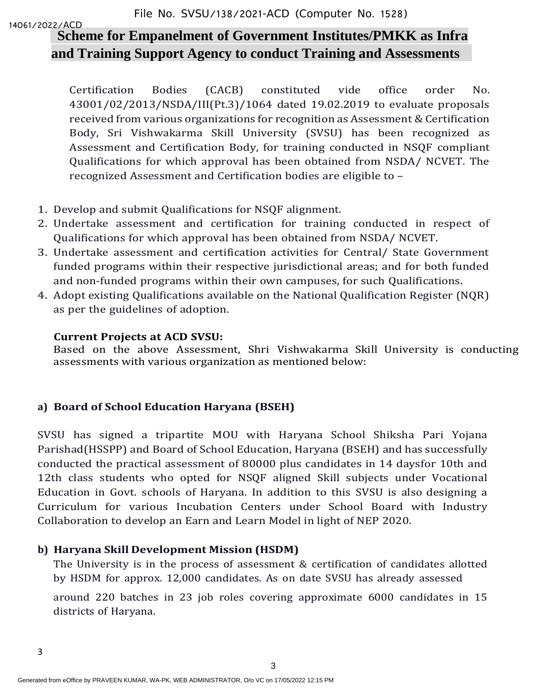Certification Bodies (CACB) constituted vide office order No. 43001/02/2013/NSDA/III(Pt.3)/1064 dated 19.02.2019 to evaluate proposals received from various organizations for recognition as Assessment & Certification Body, Sri Vishwakarma Skill University (SVSU) has been recognized as Assessment and Certification Body, for training conducted in NSQF compliant Qualifications for which approval has been obtained from NSDA/ NCVET. The recognized Assessment and Certification bodies are eligible to –

- 1. Develop and submit Qualifications for NSQF alignment.
- 2. Undertake assessment and certification for training conducted in respect of Qualifications for which approval has been obtained from NSDA/ NCVET.
- 3. Undertake assessment and certification activities for Central/ State Government funded programs within their respective jurisdictional areas; and for both funded and non-funded programs within their own campuses, for such Qualifications.
- 4. Adopt existing Qualifications available on the National Qualification Register (NQR) as per the guidelines of adoption.

#### **Current Projects at ACD SVSU:**

Based on the above Assessment, Shri Vishwakarma Skill University is conducting assessments with various organization as mentioned below:

### **a) Board of School Education Haryana (BSEH)**

SVSU has signed a tripartite MOU with Haryana School Shiksha Pari Yojana Parishad(HSSPP) and Board of School Education, Haryana (BSEH) and has successfully conducted the practical assessment of 80000 plus candidates in 14 daysfor 10th and 12th class students who opted for NSQF aligned Skill subjects under Vocational Education in Govt. schools of Haryana. In addition to this SVSU is also designing a Curriculum for various Incubation Centers under School Board with Industry Collaboration to develop an Earn and Learn Model in light of NEP 2020.

### **b) Haryana Skill Development Mission (HSDM)**

The University is in the process of assessment & certification of candidates allotted by HSDM for approx. 12,000 candidates. As on date SVSU has already assessed

around 220 batches in 23 job roles covering approximate 6000 candidates in 15 districts of Haryana.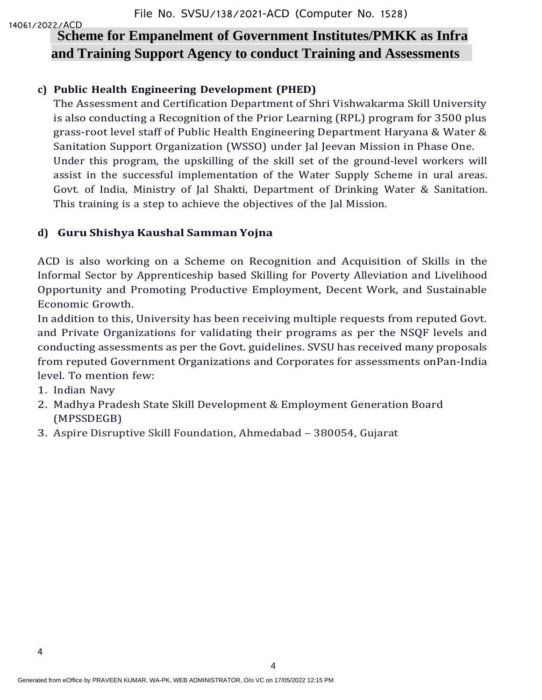### 14061/2022/ACD

# **Scheme for Empanelment of Government Institutes/PMKK as Infra and Training Support Agency to conduct Training and Assessments**

## **c) Public Health Engineering Development (PHED)**

The Assessment and Certification Department of Shri Vishwakarma Skill University is also conducting a Recognition of the Prior Learning (RPL) program for 3500 plus grass-root level staff of Public Health Engineering Department Haryana & Water & Sanitation Support Organization (WSSO) under Jal Jeevan Mission in Phase One. Under this program, the upskilling of the skill set of the ground-level workers will assist in the successful implementation of the Water Supply Scheme in ural areas. Govt. of India, Ministry of Jal Shakti, Department of Drinking Water & Sanitation. This training is a step to achieve the objectives of the Jal Mission.

### **d) Guru Shishya Kaushal Samman Yojna**

ACD is also working on a Scheme on Recognition and Acquisition of Skills in the Informal Sector by Apprenticeship based Skilling for Poverty Alleviation and Livelihood Opportunity and Promoting Productive Employment, Decent Work, and Sustainable Economic Growth.

In addition to this, University has been receiving multiple requests from reputed Govt. and Private Organizations for validating their programs as per the NSQF levels and conducting assessments as per the Govt. guidelines. SVSU has received many proposals from reputed Government Organizations and Corporates for assessments onPan-India level. To mention few:

- 1. Indian Navy
- 2. Madhya Pradesh State Skill Development & Employment Generation Board (MPSSDEGB)
- 3. Aspire Disruptive Skill Foundation, Ahmedabad 380054, Gujarat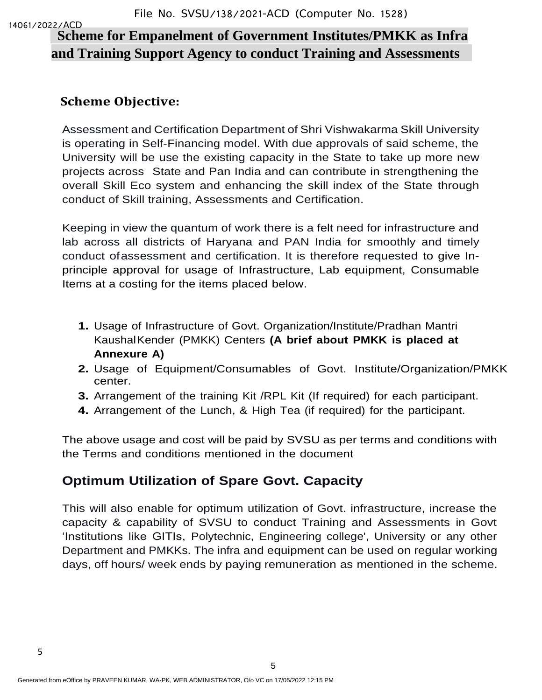## **Scheme Objective:**

Assessment and Certification Department of Shri Vishwakarma Skill University is operating in Self-Financing model. With due approvals of said scheme, the University will be use the existing capacity in the State to take up more new projects across State and Pan India and can contribute in strengthening the overall Skill Eco system and enhancing the skill index of the State through conduct of Skill training, Assessments and Certification.

Keeping in view the quantum of work there is a felt need for infrastructure and lab across all districts of Haryana and PAN India for smoothly and timely conduct ofassessment and certification. It is therefore requested to give Inprinciple approval for usage of Infrastructure, Lab equipment, Consumable Items at a costing for the items placed below.

- **1.** Usage of Infrastructure of Govt. Organization/Institute/Pradhan Mantri KaushalKender (PMKK) Centers **(A brief about PMKK is placed at Annexure A)**
- **2.** Usage of Equipment/Consumables of Govt. Institute/Organization/PMKK center.
- **3.** Arrangement of the training Kit /RPL Kit (If required) for each participant.
- **4.** Arrangement of the Lunch, & High Tea (if required) for the participant.

The above usage and cost will be paid by SVSU as per terms and conditions with the Terms and conditions mentioned in the document

## **Optimum Utilization of Spare Govt. Capacity**

This will also enable for optimum utilization of Govt. infrastructure, increase the capacity & capability of SVSU to conduct Training and Assessments in Govt 'Institutions like GITIs, Polytechnic, Engineering college', University or any other Department and PMKKs. The infra and equipment can be used on regular working days, off hours/ week ends by paying remuneration as mentioned in the scheme.

5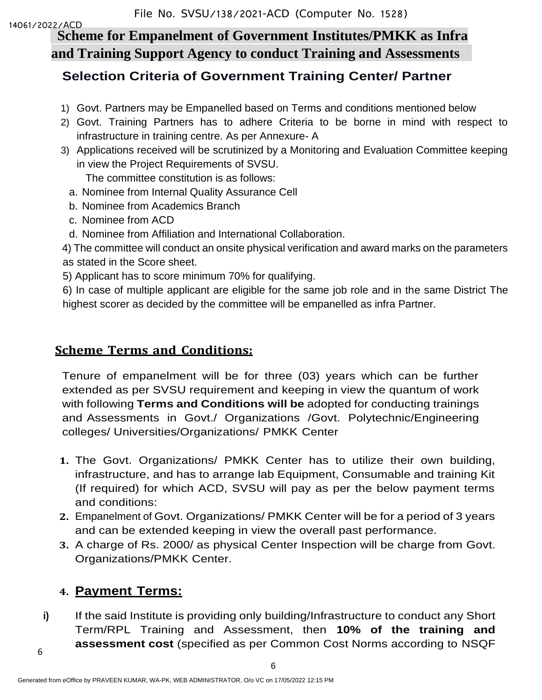## **Selection Criteria of Government Training Center/ Partner**

- 1) Govt. Partners may be Empanelled based on Terms and conditions mentioned below
- 2) Govt. Training Partners has to adhere Criteria to be borne in mind with respect to infrastructure in training centre. As per Annexure- A
- 3) Applications received will be scrutinized by a Monitoring and Evaluation Committee keeping in view the Project Requirements of SVSU.

The committee constitution is as follows:

- a. Nominee from Internal Quality Assurance Cell
- b. Nominee from Academics Branch
- c. Nominee from ACD
- d. Nominee from Affiliation and International Collaboration.

 4) The committee will conduct an onsite physical verification and award marks on the parameters as stated in the Score sheet.

5) Applicant has to score minimum 70% for qualifying.

6) In case of multiple applicant are eligible for the same job role and in the same District The highest scorer as decided by the committee will be empanelled as infra Partner.

## **Scheme Terms and Conditions:**

Tenure of empanelment will be for three (03) years which can be further extended as per SVSU requirement and keeping in view the quantum of work with following **Terms and Conditions will be** adopted for conducting trainings and Assessments in Govt./ Organizations /Govt. Polytechnic/Engineering colleges/ Universities/Organizations/ PMKK Center

- **1.** The Govt. Organizations/ PMKK Center has to utilize their own building, infrastructure, and has to arrange lab Equipment, Consumable and training Kit (If required) for which ACD, SVSU will pay as per the below payment terms and conditions:
- **2.** Empanelment of Govt. Organizations/ PMKK Center will be for a period of 3 years and can be extended keeping in view the overall past performance.
- **3.** A charge of Rs. 2000/ as physical Center Inspection will be charge from Govt. Organizations/PMKK Center.

# **4. Payment Terms:**

**i)** If the said Institute is providing only building/Infrastructure to conduct any Short Term/RPL Training and Assessment, then **10% of the training and assessment cost** (specified as per Common Cost Norms according to NSQF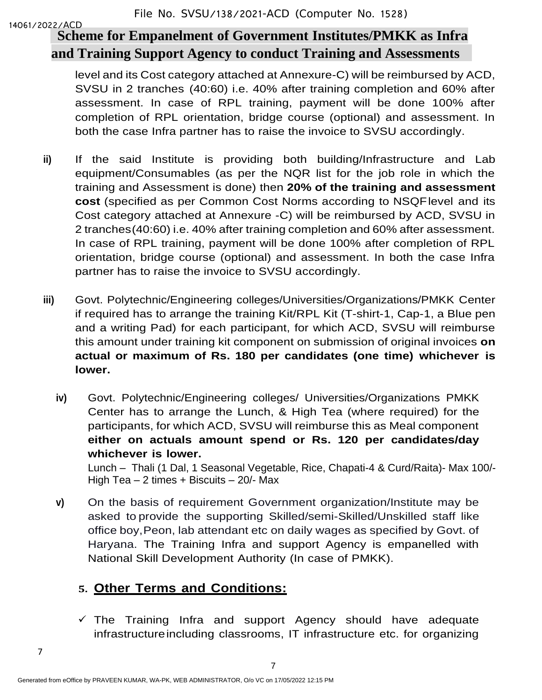level and its Cost category attached at Annexure-C) will be reimbursed by ACD, SVSU in 2 tranches (40:60) i.e. 40% after training completion and 60% after assessment. In case of RPL training, payment will be done 100% after completion of RPL orientation, bridge course (optional) and assessment. In both the case Infra partner has to raise the invoice to SVSU accordingly.

- **ii)** If the said Institute is providing both building/Infrastructure and Lab equipment/Consumables (as per the NQR list for the job role in which the training and Assessment is done) then **20% of the training and assessment cost** (specified as per Common Cost Norms according to NSQFlevel and its Cost category attached at Annexure -C) will be reimbursed by ACD, SVSU in 2 tranches(40:60) i.e. 40% after training completion and 60% after assessment. In case of RPL training, payment will be done 100% after completion of RPL orientation, bridge course (optional) and assessment. In both the case Infra partner has to raise the invoice to SVSU accordingly.
- **iii)** Govt. Polytechnic/Engineering colleges/Universities/Organizations/PMKK Center if required has to arrange the training Kit/RPL Kit (T-shirt-1, Cap-1, a Blue pen and a writing Pad) for each participant, for which ACD, SVSU will reimburse this amount under training kit component on submission of original invoices **on actual or maximum of Rs. 180 per candidates (one time) whichever is lower.**
	- **iv)** Govt. Polytechnic/Engineering colleges/ Universities/Organizations PMKK Center has to arrange the Lunch, & High Tea (where required) for the participants, for which ACD, SVSU will reimburse this as Meal component **either on actuals amount spend or Rs. 120 per candidates/day whichever is lower.**

Lunch – Thali (1 Dal, 1 Seasonal Vegetable, Rice, Chapati-4 & Curd/Raita)- Max 100/- High Tea – 2 times + Biscuits – 20/- Max

**v)** On the basis of requirement Government organization/Institute may be asked to provide the supporting Skilled/semi-Skilled/Unskilled staff like office boy,Peon, lab attendant etc on daily wages as specified by Govt. of Haryana. The Training Infra and support Agency is empanelled with National Skill Development Authority (In case of PMKK).

## **5. Other Terms and Conditions:**

 $\checkmark$  The Training Infra and support Agency should have adequate infrastructureincluding classrooms, IT infrastructure etc. for organizing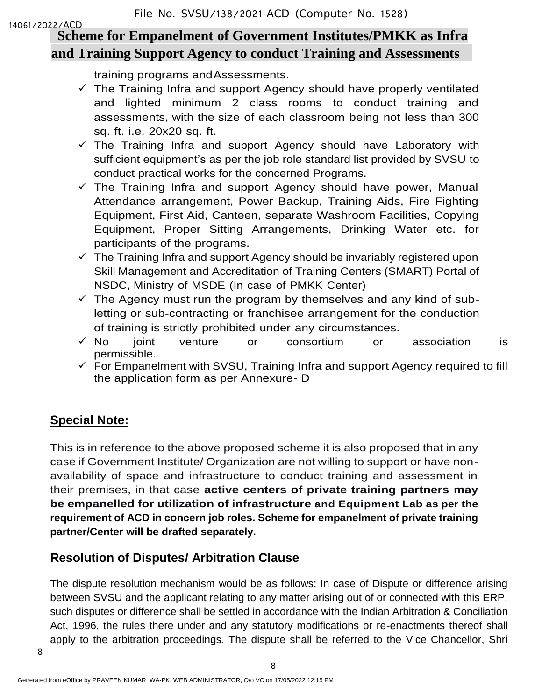training programs andAssessments.

- $\checkmark$  The Training Infra and support Agency should have properly ventilated and lighted minimum 2 class rooms to conduct training and assessments, with the size of each classroom being not less than 300 sq. ft. i.e. 20x20 sq. ft.
- $\checkmark$  The Training Infra and support Agency should have Laboratory with sufficient equipment's as per the job role standard list provided by SVSU to conduct practical works for the concerned Programs.
- $\checkmark$  The Training Infra and support Agency should have power, Manual Attendance arrangement, Power Backup, Training Aids, Fire Fighting Equipment, First Aid, Canteen, separate Washroom Facilities, Copying Equipment, Proper Sitting Arrangements, Drinking Water etc. for participants of the programs.
- $\checkmark$  The Training Infra and support Agency should be invariably registered upon Skill Management and Accreditation of Training Centers (SMART) Portal of NSDC, Ministry of MSDE (In case of PMKK Center)
- $\checkmark$  The Agency must run the program by themselves and any kind of subletting or sub-contracting or franchisee arrangement for the conduction of training is strictly prohibited under any circumstances.
- $\checkmark$  No ioint venture or consortium or association is permissible.
- $\checkmark$  For Empanelment with SVSU, Training Infra and support Agency required to fill the application form as per Annexure- D

# **Special Note:**

This is in reference to the above proposed scheme it is also proposed that in any case if Government Institute/ Organization are not willing to support or have nonavailability of space and infrastructure to conduct training and assessment in their premises, in that case **active centers of private training partners may be empanelled for utilization of infrastructure and Equipment Lab as per the requirement of ACD in concern job roles. Scheme for empanelment of private training partner/Center will be drafted separately.**

## **Resolution of Disputes/ Arbitration Clause**

The dispute resolution mechanism would be as follows: In case of Dispute or difference arising between SVSU and the applicant relating to any matter arising out of or connected with this ERP, such disputes or difference shall be settled in accordance with the Indian Arbitration & Conciliation Act, 1996, the rules there under and any statutory modifications or re-enactments thereof shall apply to the arbitration proceedings. The dispute shall be referred to the Vice Chancellor, Shri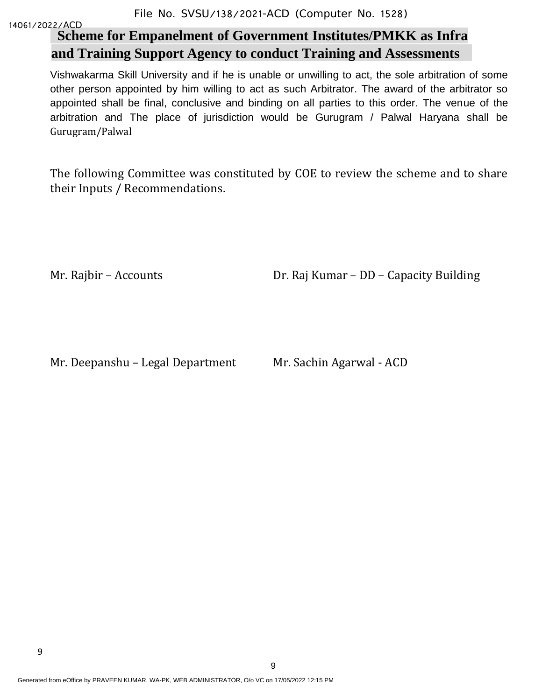## File No. SVSU/138/2021-ACD (Computer No. 1528)

## **Scheme for Empanelment of Government Institutes/PMKK as Infra and Training Support Agency to conduct Training and Assessments** 14061/2022/ACD

Vishwakarma Skill University and if he is unable or unwilling to act, the sole arbitration of some other person appointed by him willing to act as such Arbitrator. The award of the arbitrator so appointed shall be final, conclusive and binding on all parties to this order. The venue of the arbitration and The place of jurisdiction would be Gurugram / Palwal Haryana shall be Gurugram/Palwal

The following Committee was constituted by COE to review the scheme and to share their Inputs / Recommendations.

Mr. Rajbir – Accounts Dr. Raj Kumar – DD – Capacity Building

Mr. Deepanshu – Legal Department Mr. Sachin Agarwal - ACD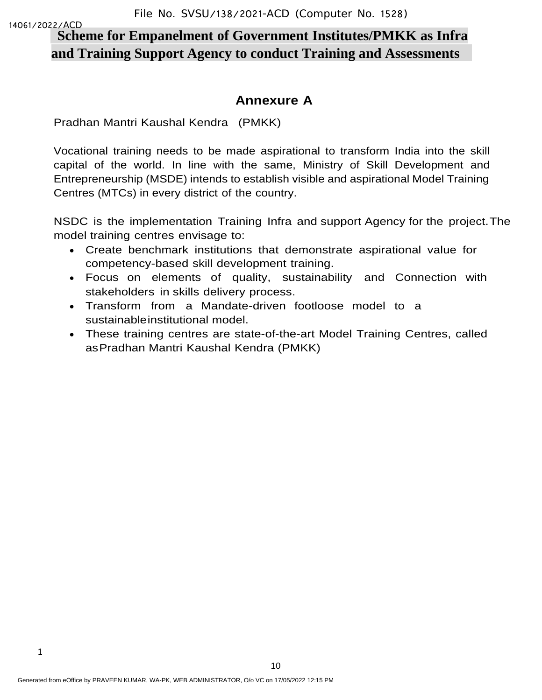1

# **Scheme for Empanelment of Government Institutes/PMKK as Infra and Training Support Agency to conduct Training and Assessments**

## **Annexure A**

Pradhan Mantri Kaushal Kendra (PMKK)

Vocational training needs to be made aspirational to transform India into the skill capital of the world. In line with the same, Ministry of Skill Development and Entrepreneurship (MSDE) intends to establish visible and aspirational Model Training Centres (MTCs) in every district of the country.

NSDC is the implementation Training Infra and support Agency for the project.The model training centres envisage to:

- Create benchmark institutions that demonstrate aspirational value for competency-based skill development training.
- Focus on elements of quality, sustainability and Connection with stakeholders in skills delivery process.
- Transform from a Mandate-driven footloose model to a sustainableinstitutional model.
- These training centres are state-of-the-art Model Training Centres, called asPradhan Mantri Kaushal Kendra (PMKK)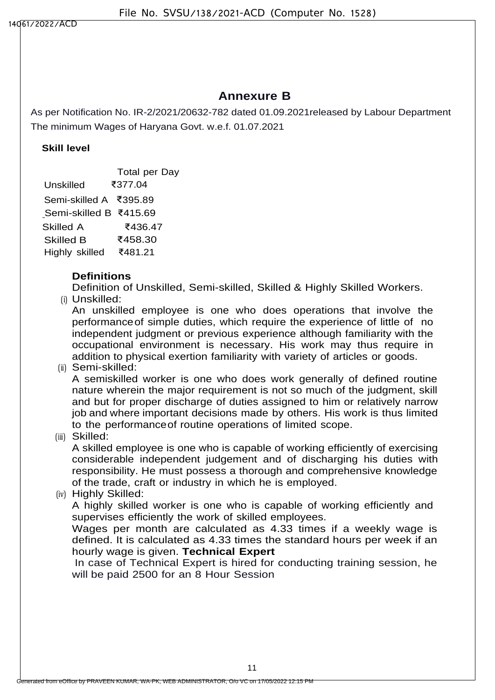## **Annexure B**

As per Notification No. IR-2/2021/20632-782 dated 01.09.2021released by Labour Department The minimum Wages of Haryana Govt. w.e.f. 01.07.2021

#### **Skill level**

 Total per Day Unskilled ₹377.04 Semi-skilled A ₹395.89 Semi-skilled B ₹415.69 Skilled A ₹436.47 Skilled B ₹458.30 Highly skilled ₹481.21

#### **Definitions**

Definition of Unskilled, Semi-skilled, Skilled & Highly Skilled Workers. (i) Unskilled:

An unskilled employee is one who does operations that involve the performanceof simple duties, which require the experience of little of no independent judgment or previous experience although familiarity with the occupational environment is necessary. His work may thus require in addition to physical exertion familiarity with variety of articles or goods.

(ii) Semi-skilled:

A semiskilled worker is one who does work generally of defined routine nature wherein the major requirement is not so much of the judgment, skill and but for proper discharge of duties assigned to him or relatively narrow job and where important decisions made by others. His work is thus limited to the performanceof routine operations of limited scope.

(iii) Skilled:

A skilled employee is one who is capable of working efficiently of exercising considerable independent judgement and of discharging his duties with responsibility. He must possess a thorough and comprehensive knowledge of the trade, craft or industry in which he is employed.

(iv) Highly Skilled:

A highly skilled worker is one who is capable of working efficiently and supervises efficiently the work of skilled employees.

Wages per month are calculated as 4.33 times if a weekly wage is defined. It is calculated as 4.33 times the standard hours per week if an hourly wage is given. **Technical Expert**

In case of Technical Expert is hired for conducting training session, he will be paid 2500 for an 8 Hour Session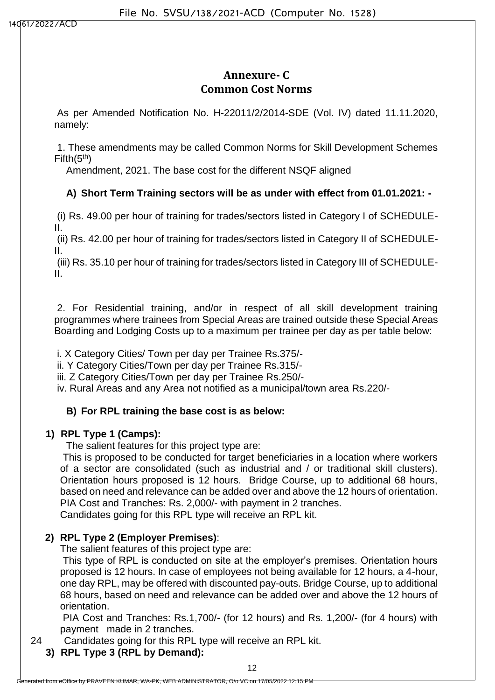## **Annexure- C Common Cost Norms**

As per Amended Notification No. H-22011/2/2014-SDE (Vol. IV) dated 11.11.2020, namely:

1. These amendments may be called Common Norms for Skill Development Schemes  $Fifth(5<sup>th</sup>)$ 

Amendment, 2021. The base cost for the different NSQF aligned

### **A) Short Term Training sectors will be as under with effect from 01.01.2021: -**

(i) Rs. 49.00 per hour of training for trades/sectors listed in Category I of SCHEDULE-II.

(ii) Rs. 42.00 per hour of training for trades/sectors listed in Category II of SCHEDULE-II.

(iii) Rs. 35.10 per hour of training for trades/sectors listed in Category III of SCHEDULE-II.

2. For Residential training, and/or in respect of all skill development training programmes where trainees from Special Areas are trained outside these Special Areas Boarding and Lodging Costs up to a maximum per trainee per day as per table below:

i. X Category Cities/ Town per day per Trainee Rs.375/-

ii. Y Category Cities/Town per day per Trainee Rs.315/-

iii. Z Category Cities/Town per day per Trainee Rs.250/-

iv. Rural Areas and any Area not notified as a municipal/town area Rs.220/-

#### **B) For RPL training the base cost is as below:**

#### **1) RPL Type 1 (Camps):**

The salient features for this project type are:

This is proposed to be conducted for target beneficiaries in a location where workers of a sector are consolidated (such as industrial and / or traditional skill clusters). Orientation hours proposed is 12 hours. Bridge Course, up to additional 68 hours, based on need and relevance can be added over and above the 12 hours of orientation. PIA Cost and Tranches: Rs. 2,000/- with payment in 2 tranches.

Candidates going for this RPL type will receive an RPL kit.

#### **2) RPL Type 2 (Employer Premises)**:

The salient features of this project type are:

This type of RPL is conducted on site at the employer's premises. Orientation hours proposed is 12 hours. In case of employees not being available for 12 hours, a 4-hour, one day RPL, may be offered with discounted pay-outs. Bridge Course, up to additional 68 hours, based on need and relevance can be added over and above the 12 hours of orientation.

PIA Cost and Tranches: Rs.1,700/- (for 12 hours) and Rs. 1,200/- (for 4 hours) with payment made in 2 tranches.

24 Candidates going for this RPL type will receive an RPL kit.

**3) RPL Type 3 (RPL by Demand):**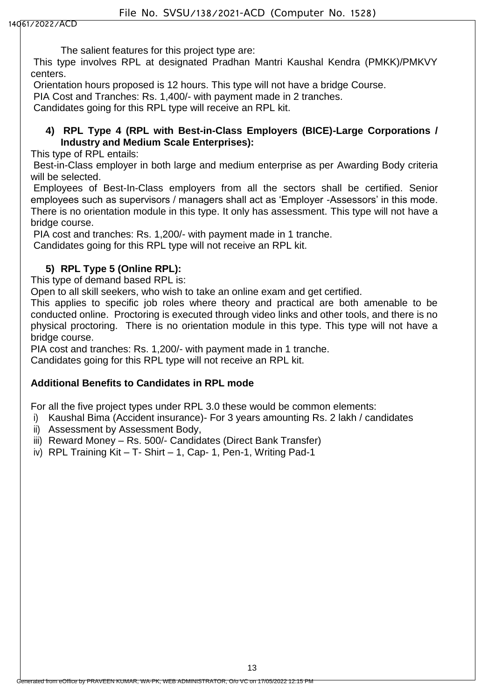The salient features for this project type are:

This type involves RPL at designated Pradhan Mantri Kaushal Kendra (PMKK)/PMKVY centers.

Orientation hours proposed is 12 hours. This type will not have a bridge Course.

PIA Cost and Tranches: Rs. 1,400/- with payment made in 2 tranches.

Candidates going for this RPL type will receive an RPL kit.

#### **4) RPL Type 4 (RPL with Best-in-Class Employers (BICE)-Large Corporations / Industry and Medium Scale Enterprises):**

This type of RPL entails:

Best-in-Class employer in both large and medium enterprise as per Awarding Body criteria will be selected.

Employees of Best-In-Class employers from all the sectors shall be certified. Senior employees such as supervisors / managers shall act as 'Employer -Assessors' in this mode. There is no orientation module in this type. It only has assessment. This type will not have a bridge course.

PIA cost and tranches: Rs. 1,200/- with payment made in 1 tranche.

Candidates going for this RPL type will not receive an RPL kit.

### **5) RPL Type 5 (Online RPL):**

This type of demand based RPL is:

Open to all skill seekers, who wish to take an online exam and get certified.

This applies to specific job roles where theory and practical are both amenable to be conducted online. Proctoring is executed through video links and other tools, and there is no physical proctoring. There is no orientation module in this type. This type will not have a bridge course.

PIA cost and tranches: Rs. 1,200/- with payment made in 1 tranche. Candidates going for this RPL type will not receive an RPL kit.

### **Additional Benefits to Candidates in RPL mode**

For all the five project types under RPL 3.0 these would be common elements:

- i) Kaushal Bima (Accident insurance)- For 3 years amounting Rs. 2 lakh / candidates
- ii) Assessment by Assessment Body,
- iii) Reward Money Rs. 500/- Candidates (Direct Bank Transfer)
- iv) RPL Training Kit T- Shirt 1, Cap- 1, Pen-1, Writing Pad-1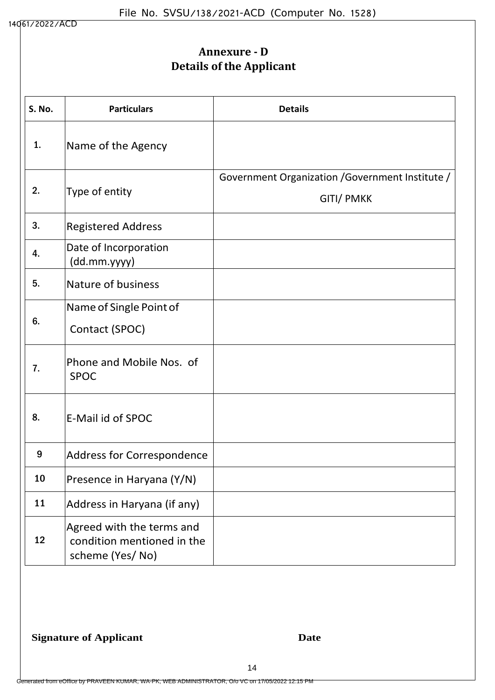## **Annexure - D Details of the Applicant**

| S. No. | <b>Particulars</b>                                                         | <b>Details</b>                                                        |
|--------|----------------------------------------------------------------------------|-----------------------------------------------------------------------|
| 1.     | Name of the Agency                                                         |                                                                       |
| 2.     | Type of entity                                                             | Government Organization / Government Institute /<br><b>GITI/ PMKK</b> |
| 3.     | <b>Registered Address</b>                                                  |                                                                       |
| 4.     | Date of Incorporation<br>(dd.mm.yyyy)                                      |                                                                       |
| 5.     | Nature of business                                                         |                                                                       |
| 6.     | Name of Single Point of<br>Contact (SPOC)                                  |                                                                       |
| 7.     | Phone and Mobile Nos. of<br><b>SPOC</b>                                    |                                                                       |
| 8.     | E-Mail id of SPOC                                                          |                                                                       |
| 9      | <b>Address for Correspondence</b>                                          |                                                                       |
| 10     | Presence in Haryana (Y/N)                                                  |                                                                       |
| 11     | Address in Haryana (if any)                                                |                                                                       |
| 12     | Agreed with the terms and<br>condition mentioned in the<br>scheme (Yes/No) |                                                                       |

## **Signature of Applicant Date**

14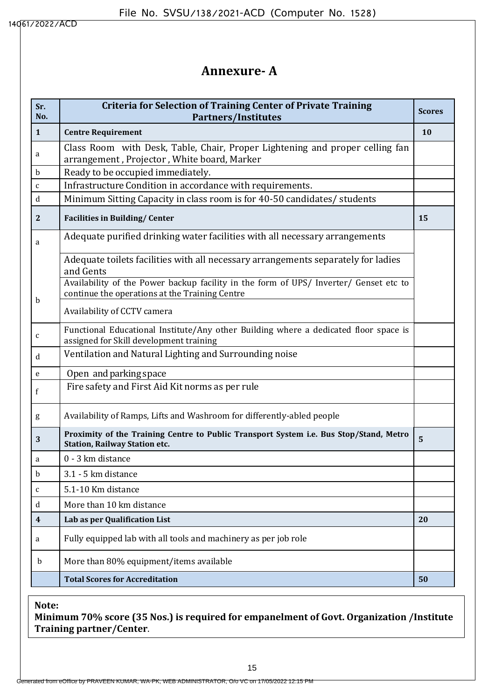# **Annexure- A**

| Sr.<br>No.          | <b>Criteria for Selection of Training Center of Private Training</b><br><b>Partners/Institutes</b>                                      | <b>Scores</b>  |
|---------------------|-----------------------------------------------------------------------------------------------------------------------------------------|----------------|
| $\mathbf{1}$        | <b>Centre Requirement</b>                                                                                                               | 10             |
| a                   | Class Room with Desk, Table, Chair, Proper Lightening and proper celling fan<br>arrangement, Projector, White board, Marker             |                |
| $\mathbf b$         | Ready to be occupied immediately.                                                                                                       |                |
| C                   | Infrastructure Condition in accordance with requirements.                                                                               |                |
| ${\bf d}$           | Minimum Sitting Capacity in class room is for 40-50 candidates/ students                                                                |                |
| $\boldsymbol{2}$    | <b>Facilities in Building/Center</b>                                                                                                    | 15             |
| a                   | Adequate purified drinking water facilities with all necessary arrangements                                                             |                |
|                     | Adequate toilets facilities with all necessary arrangements separately for ladies<br>and Gents                                          |                |
| b                   | Availability of the Power backup facility in the form of UPS/ Inverter/ Genset etc to<br>continue the operations at the Training Centre |                |
|                     | Availability of CCTV camera                                                                                                             |                |
| C                   | Functional Educational Institute/Any other Building where a dedicated floor space is<br>assigned for Skill development training         |                |
| d                   | Ventilation and Natural Lighting and Surrounding noise                                                                                  |                |
| e                   | Open and parking space                                                                                                                  |                |
| f                   | Fire safety and First Aid Kit norms as per rule                                                                                         |                |
| g                   | Availability of Ramps, Lifts and Washroom for differently-abled people                                                                  |                |
| 3                   | Proximity of the Training Centre to Public Transport System i.e. Bus Stop/Stand, Metro<br><b>Station, Railway Station etc.</b>          | $\overline{5}$ |
| a                   | 0 - 3 km distance                                                                                                                       |                |
| b                   | 3.1 - 5 km distance                                                                                                                     |                |
| $\mathsf{C}\xspace$ | 5.1-10 Km distance                                                                                                                      |                |
| d                   | More than 10 km distance                                                                                                                |                |
| $\boldsymbol{4}$    | Lab as per Qualification List                                                                                                           | 20             |
| a                   | Fully equipped lab with all tools and machinery as per job role                                                                         |                |
| $\mathbf b$         | More than 80% equipment/items available                                                                                                 |                |
|                     | <b>Total Scores for Accreditation</b>                                                                                                   | 50             |

**Note:** 

**Minimum 70% score (35 Nos.) is required for empanelment of Govt. Organization /Institute Training partner/Center**.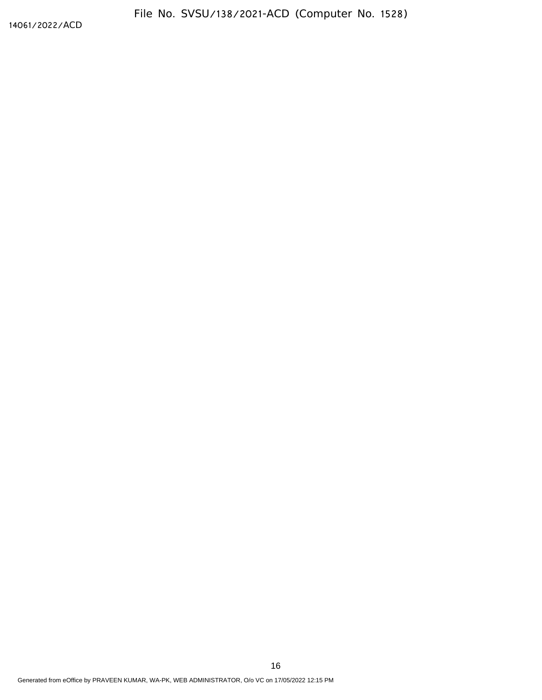Generated from eOffice by PRAVEEN KUMAR, WA-PK, WEB ADMINISTRATOR, O/o VC on 17/05/2022 12:15 PM